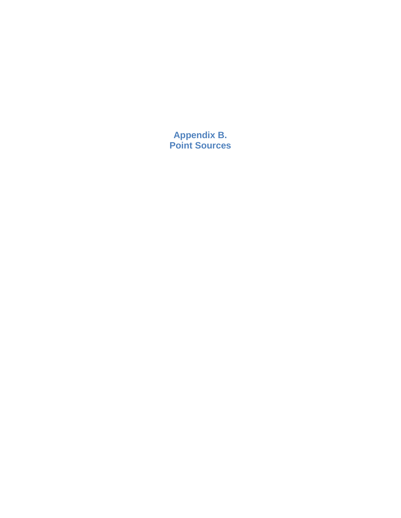**Appendix B. Point Sources**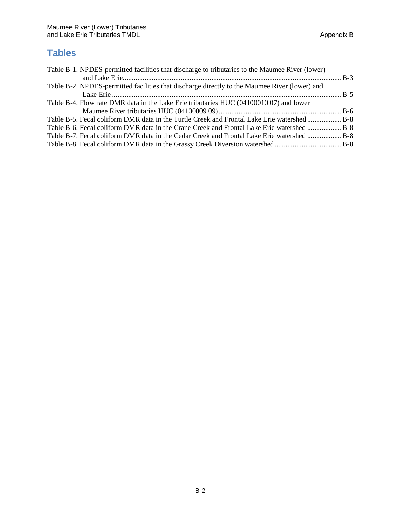# **Tables**

| Table B-1. NPDES-permitted facilities that discharge to tributaries to the Maumee River (lower) |  |
|-------------------------------------------------------------------------------------------------|--|
|                                                                                                 |  |
| Table B-2. NPDES-permitted facilities that discharge directly to the Maumee River (lower) and   |  |
|                                                                                                 |  |
| Table B-4. Flow rate DMR data in the Lake Erie tributaries HUC (04100010 07) and lower          |  |
|                                                                                                 |  |
| Table B-5. Fecal coliform DMR data in the Turtle Creek and Frontal Lake Erie watershed B-8      |  |
| Table B-6. Fecal coliform DMR data in the Crane Creek and Frontal Lake Erie watershed B-8       |  |
| Table B-7. Fecal coliform DMR data in the Cedar Creek and Frontal Lake Erie watershed  B-8      |  |
|                                                                                                 |  |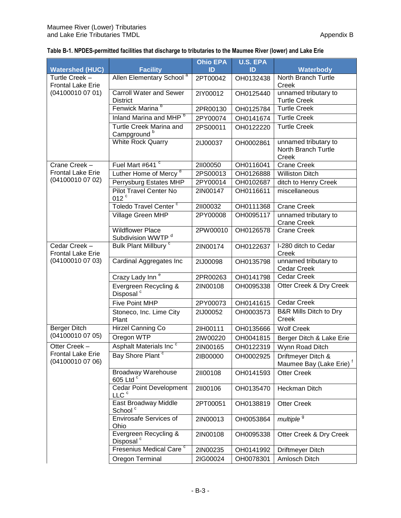## **Table B-1. NPDES-permitted facilities that discharge to tributaries to the Maumee River (lower) and Lake Erie**

|                                              |                                                          | <b>Ohio EPA</b> | <b>U.S. EPA</b> |                                                           |
|----------------------------------------------|----------------------------------------------------------|-----------------|-----------------|-----------------------------------------------------------|
| <b>Watershed (HUC)</b>                       | <b>Facility</b>                                          | ID              | ID              | Waterbody                                                 |
| Turtle Creek -<br><b>Frontal Lake Erie</b>   | Allen Elementary School <sup>a</sup>                     | 2PT00042        | OH0132438       | North Branch Turtle<br>Creek                              |
| (04100010 07 01)                             | Carroll Water and Sewer<br><b>District</b>               | 2IY00012        | OH0125440       | unnamed tributary to<br><b>Turtle Creek</b>               |
|                                              | Fenwick Marina <sup>b</sup>                              | 2PR00130        | OH0125784       | <b>Turtle Creek</b>                                       |
|                                              | Inland Marina and MHP <sup>b</sup>                       | 2PY00074        | OH0141674       | <b>Turtle Creek</b>                                       |
|                                              | Turtle Creek Marina and<br>Campground <sup>b</sup>       | 2PS00011        | OH0122220       | <b>Turtle Creek</b>                                       |
|                                              | <b>White Rock Quarry</b>                                 | 2IJ00037        | OH0002861       | unnamed tributary to<br>North Branch Turtle<br>Creek      |
| Crane Creek -                                | Fuel Mart #641 °                                         | 21100050        | OH0116041       | <b>Crane Creek</b>                                        |
| <b>Frontal Lake Erie</b>                     | Luther Home of Mercy <sup>d</sup>                        | 2PS00013        | OH0126888       | <b>Williston Ditch</b>                                    |
| (04100010 07 02)                             | Perrysburg Estates MHP                                   | 2PY00014        | OH0102687       | ditch to Henry Creek                                      |
|                                              | <b>Pilot Travel Center No</b><br>012 <sup>c</sup>        | 2IN00147        | OH0116611       | miscellaneous                                             |
|                                              | Toledo Travel Center <sup>c</sup>                        | 21100032        | OH0111368       | <b>Crane Creek</b>                                        |
|                                              | Village Green MHP                                        | 2PY00008        | OH0095117       | unnamed tributary to<br><b>Crane Creek</b>                |
|                                              | <b>Wildflower Place</b><br>Subdivision WWTP <sup>d</sup> | 2PW00010        | OH0126578       | <b>Crane Creek</b>                                        |
| Cedar Creek -<br><b>Frontal Lake Erie</b>    | Bulk Plant Millbury <sup>c</sup>                         | 2IN00174        | OH0122637       | I-280 ditch to Cedar<br>Creek                             |
| (04100010 07 03)                             | Cardinal Aggregates Inc                                  | 2IJ00098        | OH0135798       | unnamed tributary to<br>Cedar Creek                       |
|                                              | Crazy Lady Inn <sup>e</sup>                              | 2PR00263        | OH0141798       | Cedar Creek                                               |
|                                              | Evergreen Recycling &<br>Disposal <sup>c</sup>           | 2IN00108        | OH0095338       | Otter Creek & Dry Creek                                   |
|                                              | Five Point MHP                                           | 2PY00073        | OH0141615       | Cedar Creek                                               |
|                                              | Stoneco, Inc. Lime City<br>Plant                         | 2IJ00052        | OH0003573       | <b>B&amp;R Mills Ditch to Dry</b><br>Creek                |
| <b>Berger Ditch</b>                          | Hirzel Canning Co                                        | 21H00111        | OH0135666       | <b>Wolf Creek</b>                                         |
| (04100010 07 05)                             | Oregon WTP                                               | 2IW00220        | OH0041815       | Berger Ditch & Lake Erie                                  |
| Otter Creek -                                | Asphalt Materials Inc <sup>c</sup>                       | 2IN00165        | OH0122319       | Wynn Road Ditch                                           |
| <b>Frontal Lake Erie</b><br>(04100010 07 06) | Bay Shore Plant <sup>c</sup>                             | 2IB00000        | OH0002925       | Driftmeyer Ditch &<br>Maumee Bay (Lake Erie) <sup>f</sup> |
|                                              | <b>Broadway Warehouse</b><br>605 Ltd °                   | 21100108        | OH0141593       | <b>Otter Creek</b>                                        |
|                                              | <b>Cedar Point Development</b><br>LLC <sup>c</sup>       | 21100106        | OH0135470       | Heckman Ditch                                             |
|                                              | East Broadway Middle<br>School <sup>c</sup>              | 2PT00051        | OH0138819       | <b>Otter Creek</b>                                        |
|                                              | <b>Envirosafe Services of</b><br>Ohio                    | 2IN00013        | OH0053864       | multiple <sup>9</sup>                                     |
|                                              | Evergreen Recycling &<br>Disposal <sup>c</sup>           | 2IN00108        | OH0095338       | Otter Creek & Dry Creek                                   |
|                                              | Fresenius Medical Care <sup>c</sup>                      | 2IN00235        | OH0141992       | Driftmeyer Ditch                                          |
|                                              | Oregon Terminal                                          | 2IG00024        | OH0078301       | Amlosch Ditch                                             |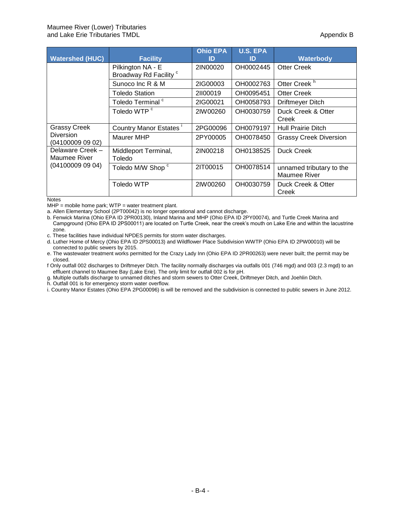| <b>Watershed (HUC)</b>               | <b>Facility</b>                                        | <b>Ohio EPA</b><br>ID | <b>U.S. EPA</b><br>ID | Waterbody                                |
|--------------------------------------|--------------------------------------------------------|-----------------------|-----------------------|------------------------------------------|
|                                      | Pilkington NA - E<br>Broadway Rd Facility <sup>c</sup> | 2IN00020              | OH0002445             | Otter Creek                              |
|                                      | Sunoco Inc R & M                                       | 2IG00003              | OH0002763             | Otter Creek <sup>h</sup>                 |
|                                      | Toledo Station                                         | 21100019              | OH0095451             | Otter Creek                              |
|                                      | Toledo Terminal <sup>c</sup>                           | 2IG00021              | OH0058793             | Driftmeyer Ditch                         |
|                                      | Toledo WTP <sup>c</sup>                                | 2IW00260              | OH0030759             | Duck Creek & Otter<br>Creek              |
| <b>Grassy Creek</b>                  | Country Manor Estates                                  | 2PG00096              | OH0079197             | Hull Prairie Ditch                       |
| <b>Diversion</b><br>(04100009 09 02) | Maurer MHP                                             | 2PY00005              | OH0078450             | <b>Grassy Creek Diversion</b>            |
| Delaware Creek -<br>Maumee River     | Middleport Terminal,<br>Toledo                         | 2IN00218              | OH0138525             | Duck Creek                               |
| (041000090904)                       | Toledo M/W Shop c                                      | 2IT00015              | OH0078514             | unnamed tributary to the<br>Maumee River |
|                                      | Toledo WTP                                             | 2IW00260              | OH0030759             | Duck Creek & Otter<br>Creek              |

**Notes** 

 $MHP$  = mobile home park;  $WTP$  = water treatment plant.

a. Allen Elementary School (2PT00042) is no longer operational and cannot discharge.

b. Fenwick Marina (Ohio EPA ID 2PR00130), Inland Marina and MHP (Ohio EPA ID 2PY00074), and Turtle Creek Marina and Campground (Ohio EPA ID 2PS00011) are located on Turtle Creek, near the creek's mouth on Lake Erie and within the lacustrine zone.

c. These facilities have individual NPDES permits for storm water discharges.

d. Luther Home of Mercy (Ohio EPA ID 2PS00013) and Wildflower Place Subdivision WWTP (Ohio EPA ID 2PW00010) will be connected to public sewers by 2015.

e. The wastewater treatment works permitted for the Crazy Lady Inn (Ohio EPA ID 2PR00263) were never built; the permit may be closed.

f Only outfall 002 discharges to Driftmeyer Ditch. The facility normally discharges via outfalls 001 (746 mgd) and 003 (2.3 mgd) to an effluent channel to Maumee Bay (Lake Erie). The only limit for outfall 002 is for pH.

g. Multiple outfalls discharge to unnamed ditches and storm sewers to Otter Creek, Driftmeyer Ditch, and Joehlin Ditch.

h. Outfall 001 is for emergency storm water overflow.

i. Country Manor Estates (Ohio EPA 2PG00096) is will be removed and the subdivision is connected to public sewers in June 2012.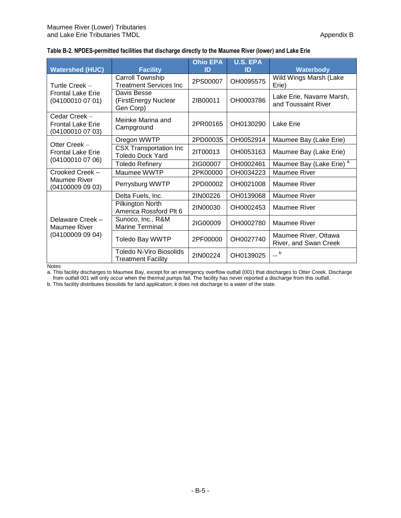| <b>Watershed (HUC)</b>                                        | <b>Facility</b>                                             | <b>Ohio EPA</b><br>ID | <b>U.S. EPA</b><br>ID | <b>Waterbody</b>                                 |
|---------------------------------------------------------------|-------------------------------------------------------------|-----------------------|-----------------------|--------------------------------------------------|
| Turtle Creek $-$                                              | Carroll Township<br><b>Treatment Services Inc</b>           | 2PS00007              | OH0095575             | Wild Wings Marsh (Lake<br>Erie)                  |
| <b>Frontal Lake Erie</b><br>(04100010 07 01)                  | Davis Besse<br>(FirstEnergy Nuclear<br>Gen Corp)            | 21B00011              | OH0003786             | Lake Erie, Navarre Marsh,<br>and Toussaint River |
| Cedar Creek -<br><b>Frontal Lake Erie</b><br>(04100010 07 03) | Meinke Marina and<br>Campground                             | 2PR00165              | OH0130290             | Lake Erie                                        |
|                                                               | Oregon WWTP                                                 | 2PD00035              | OH0052914             | Maumee Bay (Lake Erie)                           |
| Otter Creek -<br><b>Frontal Lake Erie</b>                     | <b>CSX Transportation Inc</b><br><b>Toledo Dock Yard</b>    | 21T00013              | OH0053163             | Maumee Bay (Lake Erie)                           |
| (04100010 07 06)                                              | Toledo Refinery                                             | 2IG00007              | OH0002461             | Maumee Bay (Lake Erie) <sup>a</sup>              |
| Crooked Creek -                                               | Maumee WWTP                                                 | 2PK00000              | OH0034223             | Maumee River                                     |
| Maumee River<br>(04100009 09 03)                              | Perrysburg WWTP                                             | 2PD00002              | OH0021008             | Maumee River                                     |
|                                                               | Delta Fuels, Inc.                                           | 2IN00226              | OH0139068             | Maumee River                                     |
|                                                               | Pilkington North<br>America Rossford Plt 6                  | 2IN00030              | OH0002453             | Maumee River                                     |
| Delaware Creek -<br><b>Maumee River</b>                       | Sunoco, Inc., R&M<br><b>Marine Terminal</b>                 | 2IG00009              | OH0002780             | Maumee River                                     |
| (04100009 09 04)                                              | Toledo Bay WWTP                                             | 2PF00000              | OH0027740             | Maumee River, Ottawa<br>River, and Swan Creek    |
|                                                               | <b>Toledo N-Viro Biosolids</b><br><b>Treatment Facility</b> | 2IN00224              | OH0139025             | $-$ b                                            |

**Notes** 

a. This facility discharges to Maumee Bay, except for an emergency overflow outfall (001) that discharges to Otter Creek. Discharge from outfall 001 will only occur when the thermal pumps fail. The facility has never reported a discharge from this outfall.

b. This facility distributes biosolids for land application; it does not discharge to a water of the state.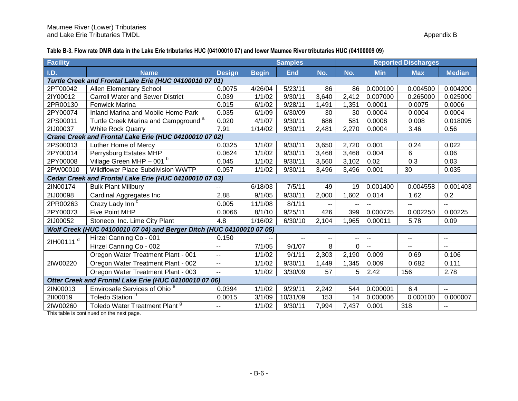**Table B-3. Flow rate DMR data in the Lake Erie tributaries HUC (04100010 07) and lower Maumee River tributaries HUC (04100009 09)**

| Facility                                                |                                                                       |                          |              | <b>Samples</b> |               |                | <b>Reported Discharges</b> |                          |                          |  |
|---------------------------------------------------------|-----------------------------------------------------------------------|--------------------------|--------------|----------------|---------------|----------------|----------------------------|--------------------------|--------------------------|--|
| I.D.                                                    | <b>Name</b>                                                           | <b>Design</b>            | <b>Begin</b> | <b>End</b>     | No.           | No.            | <b>Min</b>                 | <b>Max</b>               | <b>Median</b>            |  |
| Turtle Creek and Frontal Lake Erie (HUC 04100010 07 01) |                                                                       |                          |              |                |               |                |                            |                          |                          |  |
| 2PT00042                                                | Allen Elementary School                                               | 0.0075                   | 4/26/04      | 5/23/11        | 86            | 86             | 0.000100                   | 0.004500                 | 0.004200                 |  |
| 2IY00012                                                | <b>Carroll Water and Sewer District</b>                               | 0.039                    | 1/1/02       | 9/30/11        | 3,640         | 2,412          | 0.007000                   | 0.265000                 | 0.025000                 |  |
| 2PR00130                                                | Fenwick Marina                                                        | 0.015                    | 6/1/02       | 9/28/11        | 1,491         | 1,351          | 0.0001                     | 0.0075                   | 0.0006                   |  |
| 2PY00074                                                | Inland Marina and Mobile Home Park                                    | 0.035                    | 6/1/09       | 6/30/09        | 30            | 30             | 0.0004                     | 0.0004                   | 0.0004                   |  |
| 2PS00011                                                | Turtle Creek Marina and Campground <sup>a</sup>                       | 0.020                    | 4/1/07       | 9/30/11        | 686           | 581            | 0.0008                     | 0.008                    | 0.018095                 |  |
| 2IJ00037                                                | <b>White Rock Quarry</b>                                              | 7.91                     | 1/14/02      | 9/30/11        | 2,481         | 2,270          | 0.0004                     | 3.46                     | 0.56                     |  |
|                                                         | Crane Creek and Frontal Lake Erie (HUC 04100010 07 02)                |                          |              |                |               |                |                            |                          |                          |  |
| 2PS00013                                                | Luther Home of Mercy                                                  | 0.0325                   | 1/1/02       | 9/30/11        | 3,650         | 2,720          | 0.001                      | 0.24                     | 0.022                    |  |
| 2PY00014                                                | Perrysburg Estates MHP                                                | 0.0624                   | 1/1/02       | 9/30/11        | 3,468         | 3,468          | 0.004                      | 6                        | 0.06                     |  |
| 2PY00008                                                | Village Green MHP $-$ 001 $b$                                         | 0.045                    | 1/1/02       | 9/30/11        | 3,560         | 3,102          | 0.02                       | 0.3                      | 0.03                     |  |
| 2PW00010                                                | Wildflower Place Subdivision WWTP                                     | 0.057                    | 1/1/02       | 9/30/11        | 3,496         | 3,496          | 0.001                      | 30                       | 0.035                    |  |
|                                                         | Cedar Creek and Frontal Lake Erie (HUC 04100010 07 03)                |                          |              |                |               |                |                            |                          |                          |  |
| 2IN00174                                                | <b>Bulk Plant Millbury</b>                                            | $\overline{a}$           | 6/18/03      | 7/5/11         | 49            | 19             | 0.001400                   | 0.004558                 | 0.001403                 |  |
| 2IJ00098                                                | Cardinal Aggregates Inc                                               | 2.88                     | 9/1/05       | 9/30/11        | 2,000         | 1,602          | 0.014                      | 1.62                     | 0.2                      |  |
| 2PR00263                                                | Crazy Lady Inn <sup>c</sup>                                           | 0.005                    | 11/1/08      | 8/1/11         |               |                |                            |                          | $\overline{a}$           |  |
| 2PY00073                                                | <b>Five Point MHP</b>                                                 | 0.0066                   | 8/1/10       | 9/25/11        | 426           | 399            | 0.000725                   | 0.002250                 | 0.00225                  |  |
| 2IJ00052                                                | Stoneco, Inc. Lime City Plant                                         | 4.8                      | 1/16/02      | 6/30/10        | 2,104         | 1,965          | 0.00011                    | 5.78                     | 0.09                     |  |
|                                                         | Wolf Creek (HUC 04100010 07 04) and Berger Ditch (HUC 04100010 07 05) |                          |              |                |               |                |                            |                          |                          |  |
| 2lH00111 <sup>d</sup>                                   | Hirzel Canning Co - 001                                               | 0.150                    |              | ۰.             | $\sim$ $\sim$ | --             | $\sim$                     | --                       | $\overline{\phantom{a}}$ |  |
|                                                         | Hirzel Canning Co - 002                                               | $\overline{a}$           | 7/1/05       | 9/1/07         | 8             | $\overline{0}$ | $\overline{a}$             | $\overline{\phantom{a}}$ | $\overline{a}$           |  |
|                                                         | Oregon Water Treatment Plant - 001                                    | $\sim$ $\sim$            | 1/1/02       | 9/1/11         | 2,303         | 2,190          | 0.009                      | 0.69                     | 0.106                    |  |
| 2IW00220                                                | Oregon Water Treatment Plant - 002                                    | $\overline{\phantom{a}}$ | 1/1/02       | 9/30/11        | 1,449         | 1,345          | 0.009                      | 0.682                    | 0.111                    |  |
|                                                         | Oregon Water Treatment Plant - 003                                    | $\sim$                   | 1/1/02       | 3/30/09        | 57            | 5              | 2.42                       | 156                      | 2.78                     |  |
|                                                         | Otter Creek and Frontal Lake Erie (HUC 04100010 07 06)                |                          |              |                |               |                |                            |                          |                          |  |
| 2IN00013                                                | Envirosafe Services of Ohio <sup>e</sup>                              | 0.0394                   | 1/1/02       | 9/29/11        | 2,242         | 544            | 0.000001                   | 6.4                      | $\overline{\phantom{a}}$ |  |
| 21100019                                                | <b>Toledo Station</b>                                                 | 0.0015                   | 3/1/09       | 10/31/09       | 153           | 14             | 0.000006                   | 0.000100                 | 0.000007                 |  |
| 2IW00260                                                | Toledo Water Treatment Plant <sup>9</sup>                             | $\overline{a}$           | 1/1/02       | 9/30/11        | 7,994         | 7,437          | 0.001                      | 318                      | $\overline{\phantom{a}}$ |  |

This table is continued on the next page.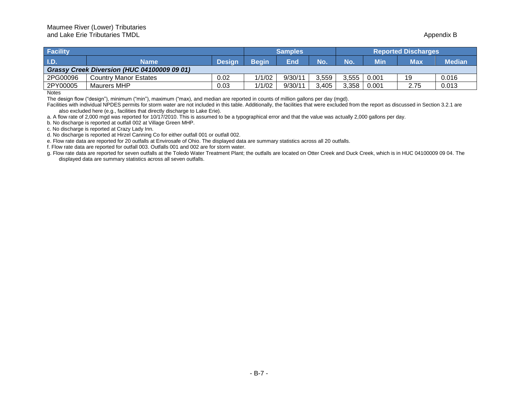| <b>Facility</b> |                                             |        | <b>Samples</b> |         |       | <b>Reported Discharges</b> |       |      |               |  |
|-----------------|---------------------------------------------|--------|----------------|---------|-------|----------------------------|-------|------|---------------|--|
| $ $ I.D.        | Name                                        | Desian | <b>Beain</b>   | End     | No.   | No                         | Min   | Max  | <b>Median</b> |  |
|                 | Grassy Creek Diversion (HUC 04100009 09 01) |        |                |         |       |                            |       |      |               |  |
| 2PG00096        | <b>Country Manor Estates</b>                | 0.02   | 1/1/02         | 9/30/1  | 3.559 | 3.555                      | 0.001 | 19   | 0.016         |  |
| 2PY00005        | Maurers MHP                                 | 0.03   | 1/1/02         | 9/30/1' | 3.405 | 3,358                      | 0.001 | 2.75 | 0.013         |  |

**Notes** 

The design flow ("design"), minimum ("min"), maximum ("max), and median are reported in counts of million gallons per day (mgd).

Facilities with individual NPDES permits for storm water are not included in this table. Additionally, the facilities that were excluded from the report as discussed in Section 3.2.1 are also excluded here (e.g., facilities that directly discharge to Lake Erie).

a. A flow rate of 2,000 mgd was reported for 10/17/2010. This is assumed to be a typographical error and that the value was actually 2,000 gallons per day.

b. No discharge is reported at outfall 002 at Village Green MHP.

c. No discharge is reported at Crazy Lady Inn.

d. No discharge is reported at Hirzel Canning Co for either outfall 001 or outfall 002.

e. Flow rate data are reported for 20 outfalls at Envirosafe of Ohio. The displayed data are summary statistics across all 20 outfalls.

f. Flow rate data are reported for outfall 003. Outfalls 001 and 002 are for storm water.

g. Flow rate data are reported for seven outfalls at the Toledo Water Treatment Plant; the outfalls are located on Otter Creek and Duck Creek, which is in HUC 04100009 09 04. The displayed data are summary statistics across all seven outfalls.